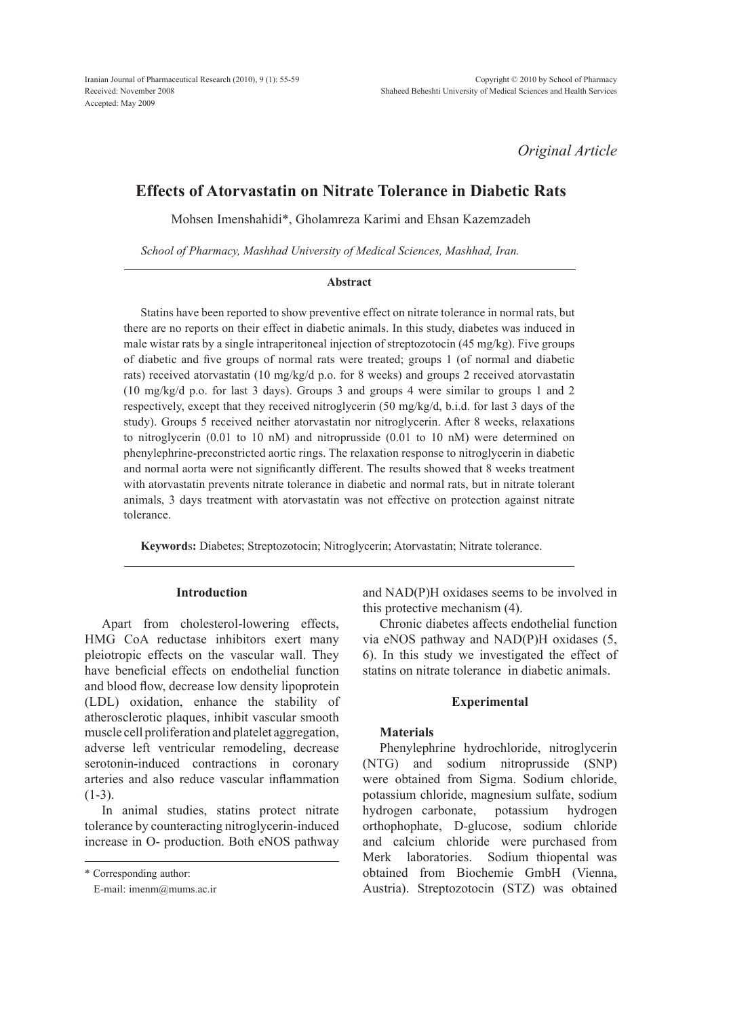*Original Article*

# **Effects of Atorvastatin on Nitrate Tolerance in Diabetic Rats**

Mohsen Imenshahidi\*, Gholamreza Karimi and Ehsan Kazemzadeh

*School of Pharmacy, Mashhad University of Medical Sciences, Mashhad, Iran.*

# **Abstract**

Statins have been reported to show preventive effect on nitrate tolerance in normal rats, but there are no reports on their effect in diabetic animals. In this study, diabetes was induced in male wistar rats by a single intraperitoneal injection of streptozotocin (45 mg/kg). Five groups of diabetic and five groups of normal rats were treated; groups 1 (of normal and diabetic rats) received atorvastatin (10 mg/kg/d p.o. for 8 weeks) and groups 2 received atorvastatin (10 mg/kg/d p.o. for last 3 days). Groups 3 and groups 4 were similar to groups 1 and 2 respectively, except that they received nitroglycerin (50 mg/kg/d, b.i.d. for last 3 days of the study). Groups 5 received neither atorvastatin nor nitroglycerin. After 8 weeks, relaxations to nitroglycerin (0.01 to 10 nM) and nitroprusside (0.01 to 10 nM) were determined on phenylephrine-preconstricted aortic rings. The relaxation response to nitroglycerin in diabetic and normal aorta were not significantly different. The results showed that 8 weeks treatment with atorvastatin prevents nitrate tolerance in diabetic and normal rats, but in nitrate tolerant animals, 3 days treatment with atorvastatin was not effective on protection against nitrate tolerance.

**Keyword**s**:** Diabetes; Streptozotocin; Nitroglycerin; Atorvastatin; Nitrate tolerance.

# **Introduction**

Apart from cholesterol-lowering effects, HMG CoA reductase inhibitors exert many pleiotropic effects on the vascular wall. They have beneficial effects on endothelial function and blood flow, decrease low density lipoprotein (LDL) oxidation, enhance the stability of atherosclerotic plaques, inhibit vascular smooth muscle cell proliferation and platelet aggregation, adverse left ventricular remodeling, decrease serotonin-induced contractions in coronary arteries and also reduce vascular inflammation  $(1-3)$ .

In animal studies, statins protect nitrate tolerance by counteracting nitroglycerin-induced increase in O- production. Both eNOS pathway and NAD(P)H oxidases seems to be involved in this protective mechanism (4).

Chronic diabetes affects endothelial function via eNOS pathway and NAD(P)H oxidases (5, 6). In this study we investigated the effect of statins on nitrate tolerance in diabetic animals.

# **Experimental**

# **Materials**

Phenylephrine hydrochloride, nitroglycerin (NTG) and sodium nitroprusside (SNP) were obtained from Sigma. Sodium chloride, potassium chloride, magnesium sulfate, sodium hydrogen carbonate, potassium hydrogen orthophophate, D-glucose, sodium chloride and calcium chloride were purchased from Merk laboratories. Sodium thiopental was obtained from Biochemie GmbH (Vienna, Austria). Streptozotocin (STZ) was obtained

<sup>\*</sup> Corresponding author:

E-mail: imenm@mums.ac.ir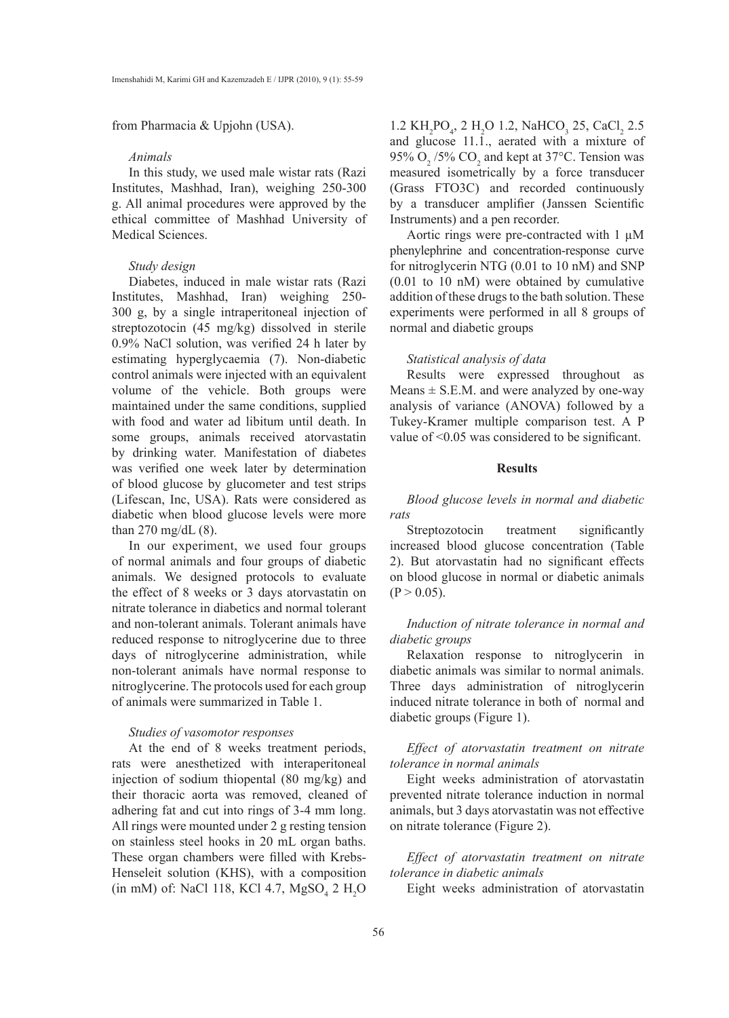from Pharmacia & Upjohn (USA).

# *Animals*

In this study, we used male wistar rats (Razi Institutes, Mashhad, Iran), weighing 250-300 g. All animal procedures were approved by the ethical committee of Mashhad University of Medical Sciences.

# *Study design*

Diabetes, induced in male wistar rats (Razi Institutes, Mashhad, Iran) weighing 250- 300 g, by a single intraperitoneal injection of streptozotocin (45 mg/kg) dissolved in sterile 0.9% NaCl solution, was verified 24 h later by estimating hyperglycaemia (7). Non-diabetic control animals were injected with an equivalent volume of the vehicle. Both groups were maintained under the same conditions, supplied with food and water ad libitum until death. In some groups, animals received atorvastatin by drinking water. Manifestation of diabetes was verified one week later by determination of blood glucose by glucometer and test strips (Lifescan, Inc, USA). Rats were considered as diabetic when blood glucose levels were more than  $270 \text{ mg/dL}$  (8).

In our experiment, we used four groups of normal animals and four groups of diabetic animals. We designed protocols to evaluate the effect of 8 weeks or 3 days atorvastatin on nitrate tolerance in diabetics and normal tolerant and non-tolerant animals. Tolerant animals have reduced response to nitroglycerine due to three days of nitroglycerine administration, while non-tolerant animals have normal response to nitroglycerine. The protocols used for each group of animals were summarized in Table 1.

# *Studies of vasomotor responses*

At the end of 8 weeks treatment periods, rats were anesthetized with interaperitoneal injection of sodium thiopental (80 mg/kg) and their thoracic aorta was removed, cleaned of adhering fat and cut into rings of 3-4 mm long. All rings were mounted under 2 g resting tension on stainless steel hooks in 20 mL organ baths. These organ chambers were filled with Krebs-Henseleit solution (KHS), with a composition  $(in mM)$  of: NaCl 118, KCl 4.7, MgSO<sub>4</sub> 2 H<sub>2</sub>O

 $1.2 \text{ KH}_2\text{PO}_4$ ,  $2 \text{ H}_2\text{O}$   $1.2$ , NaHCO<sub>3</sub>  $25$ , CaCl<sub>2</sub>  $2.5$ and glucose 11.1., aerated with a mixture of 95%  $O_2/5\%$  CO<sub>2</sub> and kept at 37°C. Tension was measured isometrically by a force transducer (Grass FTO3C) and recorded continuously by a transducer amplifier (Janssen Scientific Instruments) and a pen recorder.

Aortic rings were pre-contracted with 1 µM phenylephrine and concentration-response curve for nitroglycerin NTG (0.01 to 10 nM) and SNP (0.01 to 10 nM) were obtained by cumulative addition of these drugs to the bath solution. These experiments were performed in all 8 groups of normal and diabetic groups

#### *Statistical analysis of data*

Results were expressed throughout as Means  $\pm$  S.E.M. and were analyzed by one-way analysis of variance (ANOVA) followed by a Tukey-Kramer multiple comparison test. A P value of <0.05 was considered to be significant.

# **Results**

*Blood glucose levels in normal and diabetic rats*

Streptozotocin treatment significantly increased blood glucose concentration (Table 2). But atorvastatin had no significant effects on blood glucose in normal or diabetic animals  $(P > 0.05)$ .

# *Induction of nitrate tolerance in normal and diabetic groups*

Relaxation response to nitroglycerin in diabetic animals was similar to normal animals. Three days administration of nitroglycerin induced nitrate tolerance in both of normal and diabetic groups (Figure 1).

*Effect of atorvastatin treatment on nitrate tolerance in normal animals*

Eight weeks administration of atorvastatin prevented nitrate tolerance induction in normal animals, but 3 days atorvastatin was not effective on nitrate tolerance (Figure 2).

*Effect of atorvastatin treatment on nitrate tolerance in diabetic animals* 

Eight weeks administration of atorvastatin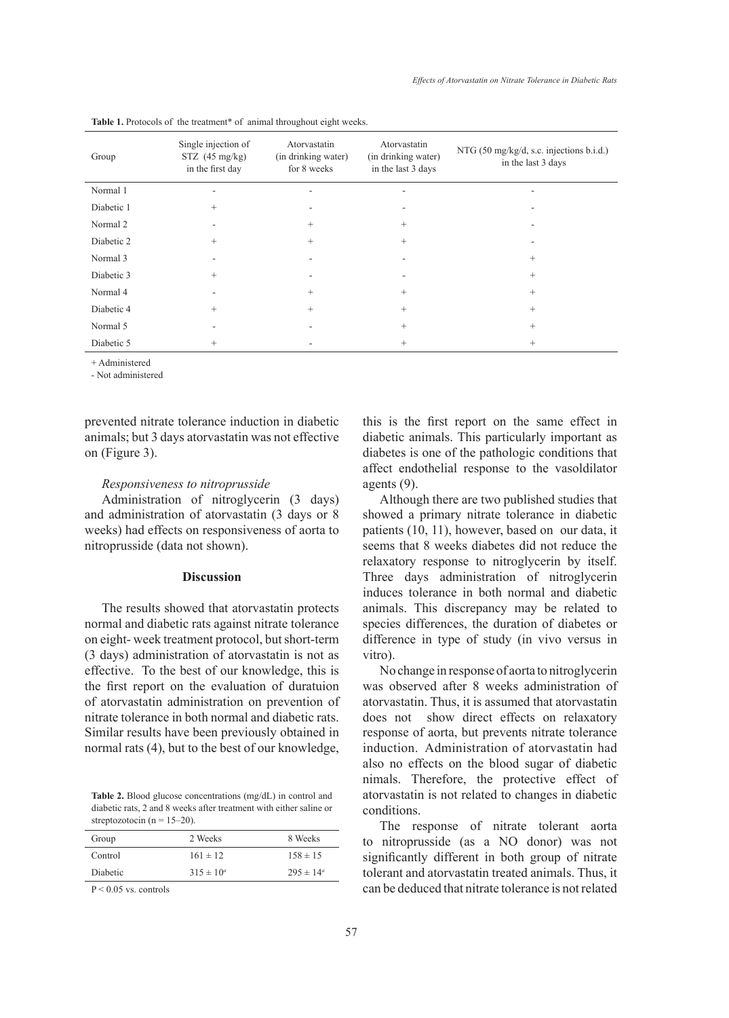| Group      | Single injection of<br>$STZ$ (45 mg/kg)<br>in the first day | Atorvastatin<br>(in drinking water)<br>for 8 weeks | Atorvastatin<br>(in drinking water)<br>in the last 3 days | NTG (50 mg/kg/d, s.c. injections b.i.d.)<br>in the last 3 days |
|------------|-------------------------------------------------------------|----------------------------------------------------|-----------------------------------------------------------|----------------------------------------------------------------|
| Normal 1   |                                                             |                                                    |                                                           |                                                                |
| Diabetic 1 | $^{+}$                                                      |                                                    |                                                           |                                                                |
| Normal 2   |                                                             | $^{+}$                                             | $^{+}$                                                    |                                                                |
| Diabetic 2 | $^{+}$                                                      | $^{+}$                                             | $^{+}$                                                    |                                                                |
| Normal 3   |                                                             |                                                    |                                                           | $^{+}$                                                         |
| Diabetic 3 | $^{+}$                                                      |                                                    |                                                           | $^{+}$                                                         |
| Normal 4   |                                                             | $^{+}$                                             | $^{+}$                                                    | $^{+}$                                                         |
| Diabetic 4 | $^{+}$                                                      | $^{+}$                                             | $^{+}$                                                    | $^{+}$                                                         |
| Normal 5   |                                                             |                                                    | $^{+}$                                                    | $^{+}$                                                         |
| Diabetic 5 | $^{+}$                                                      |                                                    | $^{+}$                                                    | $^{+}$                                                         |

| Table 1. Protocols of the treatment <sup>*</sup> of animal throughout eight weeks. |  |  |  |
|------------------------------------------------------------------------------------|--|--|--|
|------------------------------------------------------------------------------------|--|--|--|

+ Administered

- Not administered

prevented nitrate tolerance induction in diabetic animals; but 3 days atorvastatin was not effective on (Figure 3).

# *Responsiveness to nitroprusside*

Administration of nitroglycerin (3 days) and administration of atorvastatin (3 days or 8 weeks) had effects on responsiveness of aorta to nitroprusside (data not shown).

# **Discussion**

The results showed that atorvastatin protects normal and diabetic rats against nitrate tolerance on eight- week treatment protocol, but short-term (3 days) administration of atorvastatin is not as effective. To the best of our knowledge, this is the first report on the evaluation of duratuion of atorvastatin administration on prevention of nitrate tolerance in both normal and diabetic rats. Similar results have been previously obtained in normal rats (4), but to the best of our knowledge,

**Table 2.** Blood glucose concentrations (mg/dL) in control and diabetic rats, 2 and 8 weeks after treatment with either saline or streptozotocin ( $n = 15-20$ ).

| Group    | 2 Weeks        | 8 Weeks              |
|----------|----------------|----------------------|
| Control  | $161 \pm 12$   | $158 \pm 15$         |
| Diabetic | $315 \pm 10^a$ | $295 \pm 14^{\circ}$ |

P < 0.05 vs. controls

this is the first report on the same effect in diabetic animals. This particularly important as diabetes is one of the pathologic conditions that affect endothelial response to the vasoldilator agents (9).

Although there are two published studies that showed a primary nitrate tolerance in diabetic patients (10, 11), however, based on our data, it seems that 8 weeks diabetes did not reduce the relaxatory response to nitroglycerin by itself. Three days administration of nitroglycerin induces tolerance in both normal and diabetic animals. This discrepancy may be related to species differences, the duration of diabetes or difference in type of study (in vivo versus in vitro).

No change in response of aorta to nitroglycerin was observed after 8 weeks administration of atorvastatin. Thus, it is assumed that atorvastatin does not show direct effects on relaxatory response of aorta, but prevents nitrate tolerance induction. Administration of atorvastatin had also no effects on the blood sugar of diabetic nimals. Therefore, the protective effect of atorvastatin is not related to changes in diabetic conditions.

The response of nitrate tolerant aorta to nitroprusside (as a NO donor) was not significantly different in both group of nitrate tolerant and atorvastatin treated animals. Thus, it can be deduced that nitrate tolerance is not related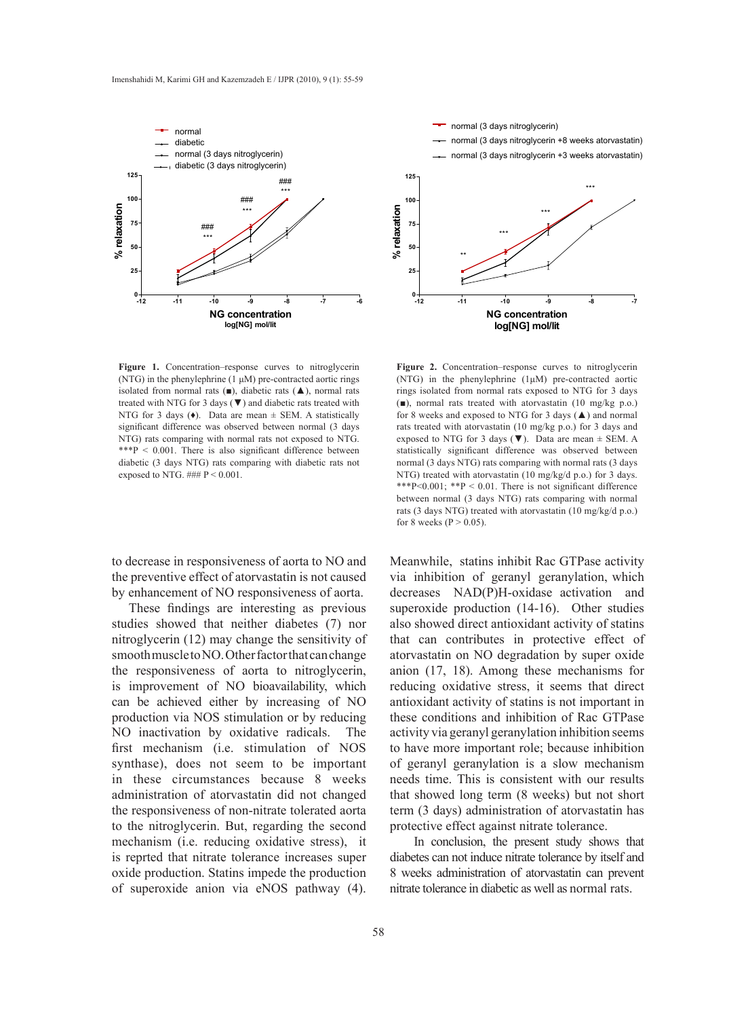

**Figure 1.** Concentration–response curves to nitroglycerin (NTG) in the phenylephrine (1 μM) pre-contracted aortic rings isolated from normal rats  $(\blacksquare)$ , diabetic rats  $(\blacktriangle)$ , normal rats treated with NTG for 3 days  $(\nabla)$  and diabetic rats treated with NTG for 3 days  $(\bullet)$ . Data are mean  $\pm$  SEM. A statistically significant difference was observed between normal (3 days NTG) rats comparing with normal rats not exposed to NTG. \*\*\*P < 0.001. There is also significant difference between diabetic (3 days NTG) rats comparing with diabetic rats not exposed to NTG.  $\# \# P \leq 0.001$ .

to decrease in responsiveness of aorta to NO and the preventive effect of atorvastatin is not caused by enhancement of NO responsiveness of aorta.

These findings are interesting as previous studies showed that neither diabetes (7) nor nitroglycerin (12) may change the sensitivity of smooth muscle to NO. Other factor that can change the responsiveness of aorta to nitroglycerin, is improvement of NO bioavailability, which can be achieved either by increasing of NO production via NOS stimulation or by reducing NO inactivation by oxidative radicals. The first mechanism (i.e. stimulation of NOS synthase), does not seem to be important in these circumstances because 8 weeks administration of atorvastatin did not changed the responsiveness of non-nitrate tolerated aorta to the nitroglycerin. But, regarding the second mechanism (i.e. reducing oxidative stress), it is reprted that nitrate tolerance increases super oxide production. Statins impede the production of superoxide anion via eNOS pathway (4).



**Figure 2.** Concentration–response curves to nitroglycerin (NTG) in the phenylephrine (1μM) pre-contracted aortic rings isolated from normal rats exposed to NTG for 3 days (■), normal rats treated with atorvastatin (10 mg/kg p.o.) for 8 weeks and exposed to NTG for 3 days (▲) and normal rats treated with atorvastatin (10 mg/kg p.o.) for 3 days and exposed to NTG for 3 days  $(\blacktriangledown)$ . Data are mean  $\pm$  SEM. A statistically significant difference was observed between normal (3 days NTG) rats comparing with normal rats (3 days NTG) treated with atorvastatin (10 mg/kg/d p.o.) for 3 days. \*\*\*P<0.001; \*\*P < 0.01. There is not significant difference between normal (3 days NTG) rats comparing with normal rats (3 days NTG) treated with atorvastatin (10 mg/kg/d p.o.) for 8 weeks ( $P > 0.05$ ).

Meanwhile, statins inhibit Rac GTPase activity via inhibition of geranyl geranylation, which decreases NAD(P)H-oxidase activation and superoxide production (14-16). Other studies also showed direct antioxidant activity of statins that can contributes in protective effect of atorvastatin on NO degradation by super oxide anion (17, 18). Among these mechanisms for reducing oxidative stress, it seems that direct antioxidant activity of statins is not important in these conditions and inhibition of Rac GTPase activity via geranyl geranylation inhibition seems to have more important role; because inhibition of geranyl geranylation is a slow mechanism needs time. This is consistent with our results that showed long term (8 weeks) but not short term (3 days) administration of atorvastatin has protective effect against nitrate tolerance.

 In conclusion, the present study shows that diabetes can not induce nitrate tolerance by itself and 8 weeks administration of atorvastatin can prevent nitrate tolerance in diabetic as well as normal rats.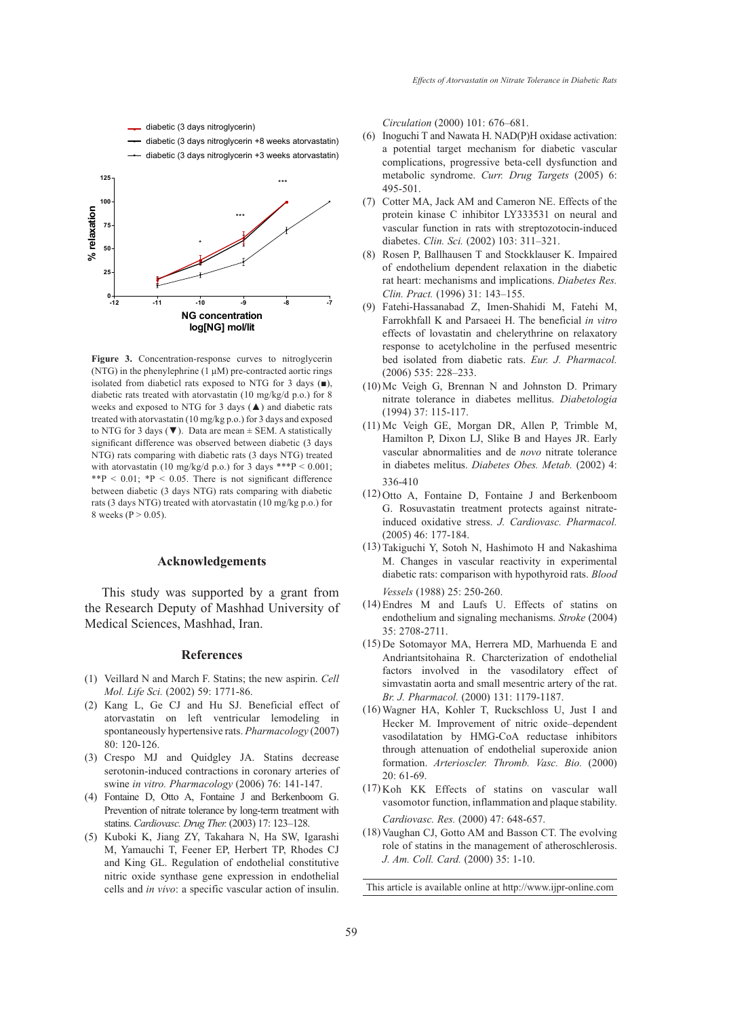

**Figure 3.** Concentration-response curves to nitroglycerin (NTG) in the phenylephrine (1 μM) pre-contracted aortic rings isolated from diabeticl rats exposed to NTG for 3 days (■), diabetic rats treated with atorvastatin (10 mg/kg/d p.o.) for 8 weeks and exposed to NTG for 3 days (▲) and diabetic rats treated with atorvastatin (10 mg/kg p.o.) for 3 days and exposed to NTG for 3 days ( $\nabla$ ). Data are mean  $\pm$  SEM. A statistically significant difference was observed between diabetic (3 days NTG) rats comparing with diabetic rats (3 days NTG) treated with atorvastatin (10 mg/kg/d p.o.) for 3 days \*\*\*P < 0.001; \*\*P < 0.01;  $*P$  < 0.05. There is not significant difference between diabetic (3 days NTG) rats comparing with diabetic rats (3 days NTG) treated with atorvastatin (10 mg/kg p.o.) for 8 weeks ( $P > 0.05$ ).

## **Acknowledgements**

This study was supported by a grant from the Research Deputy of Mashhad University of Medical Sciences, Mashhad, Iran.

#### **References**

- Veillard N and March F. Statins; the new aspirin. *Cell*  (1) *Mol. Life Sci.* (2002) 59: 1771-86.
- (2) Kang L, Ge CJ and Hu SJ. Beneficial effect of atorvastatin on left ventricular lemodeling in spontaneously hypertensive rats. *Pharmacology* (2007) 80: 120-126.
- (3) Crespo MJ and Quidgley JA. Statins decrease serotonin-induced contractions in coronary arteries of swine *in vitro. Pharmacology* (2006) 76: 141-147.
- Fontaine D, Otto A, Fontaine J and Berkenboom G. (4) Prevention of nitrate tolerance by long-term treatment with statins. *Cardiovasc. Drug Ther.* (2003) 17: 123–128.
- (5) Kuboki K, Jiang ZY, Takahara N, Ha SW, Igarashi M, Yamauchi T, Feener EP, Herbert TP, Rhodes CJ and King GL. Regulation of endothelial constitutive nitric oxide synthase gene expression in endothelial cells and *in vivo*: a specific vascular action of insulin.

*Circulation* (2000) 101: 676–681.

- Inoguchi T and Nawata H. NAD(P)H oxidase activation: a potential target mechanism for diabetic vascular complications, progressive beta-cell dysfunction and metabolic syndrome. *Curr. Drug Targets* (2005) 6: 495-501. (6)
- (7) Cotter MA, Jack AM and Cameron NE. Effects of the protein kinase C inhibitor LY333531 on neural and vascular function in rats with streptozotocin-induced diabetes. *Clin. Sci.* (2002) 103: 311–321.
- (8) Rosen P, Ballhausen T and Stockklauser K. Impaired of endothelium dependent relaxation in the diabetic rat heart: mechanisms and implications. *Diabetes Res. Clin. Pract.* (1996) 31: 143–155.
- Fatehi-Hassanabad Z, Imen-Shahidi M, Fatehi M, (9) Farrokhfall K and Parsaeei H. The beneficial *in vitro* effects of lovastatin and chelerythrine on relaxatory response to acetylcholine in the perfused mesentric bed isolated from diabetic rats. *Eur. J. Pharmacol.* (2006) 535: 228–233.
- $(10)$  Mc Veigh G, Brennan N and Johnston D. Primary nitrate tolerance in diabetes mellitus. *Diabetologia* (1994) 37: 115-117.
- $(11)$  Mc Veigh GE, Morgan DR, Allen P, Trimble M, Hamilton P, Dixon LJ, Slike B and Hayes JR. Early vascular abnormalities and de *novo* nitrate tolerance in diabetes melitus. *Diabetes Obes. Metab.* (2002) 4: 336-410
- $(12)$  Otto A, Fontaine D, Fontaine J and Berkenboom G. Rosuvastatin treatment protects against nitrateinduced oxidative stress. *J. Cardiovasc. Pharmacol.* (2005) 46: 177-184.
- (13) Takiguchi Y, Sotoh N, Hashimoto H and Nakashima M. Changes in vascular reactivity in experimental diabetic rats: comparison with hypothyroid rats. *Blood Vessels* (1988) 25: 250-260.
- Endres M and Laufs U. Effects of statins on (14) endothelium and signaling mechanisms. *Stroke* (2004) 35: 2708-2711.
- (15) De Sotomayor MA, Herrera MD, Marhuenda E and Andriantsitohaina R. Charcterization of endothelial factors involved in the vasodilatory effect of simvastatin aorta and small mesentric artery of the rat. *Br. J. Pharmacol.* (2000) 131: 1179-1187.
- Wagner HA, Kohler T, Ruckschloss U, Just I and (16) Hecker M. Improvement of nitric oxide–dependent vasodilatation by HMG-CoA reductase inhibitors through attenuation of endothelial superoxide anion formation. *Arterioscler. Thromb. Vasc. Bio.* (2000) 20: 61-69.
- $(17)$  Koh KK Effects of statins on vascular wall vasomotor function, inflammation and plaque stability. *Cardiovasc. Res.* (2000) 47: 648-657.
- (18) Vaughan CJ, Gotto AM and Basson CT. The evolving role of statins in the management of atheroschlerosis. *J. Am. Coll. Card.* (2000) 35: 1-10.

This article is available online at http://www.ijpr-online.com